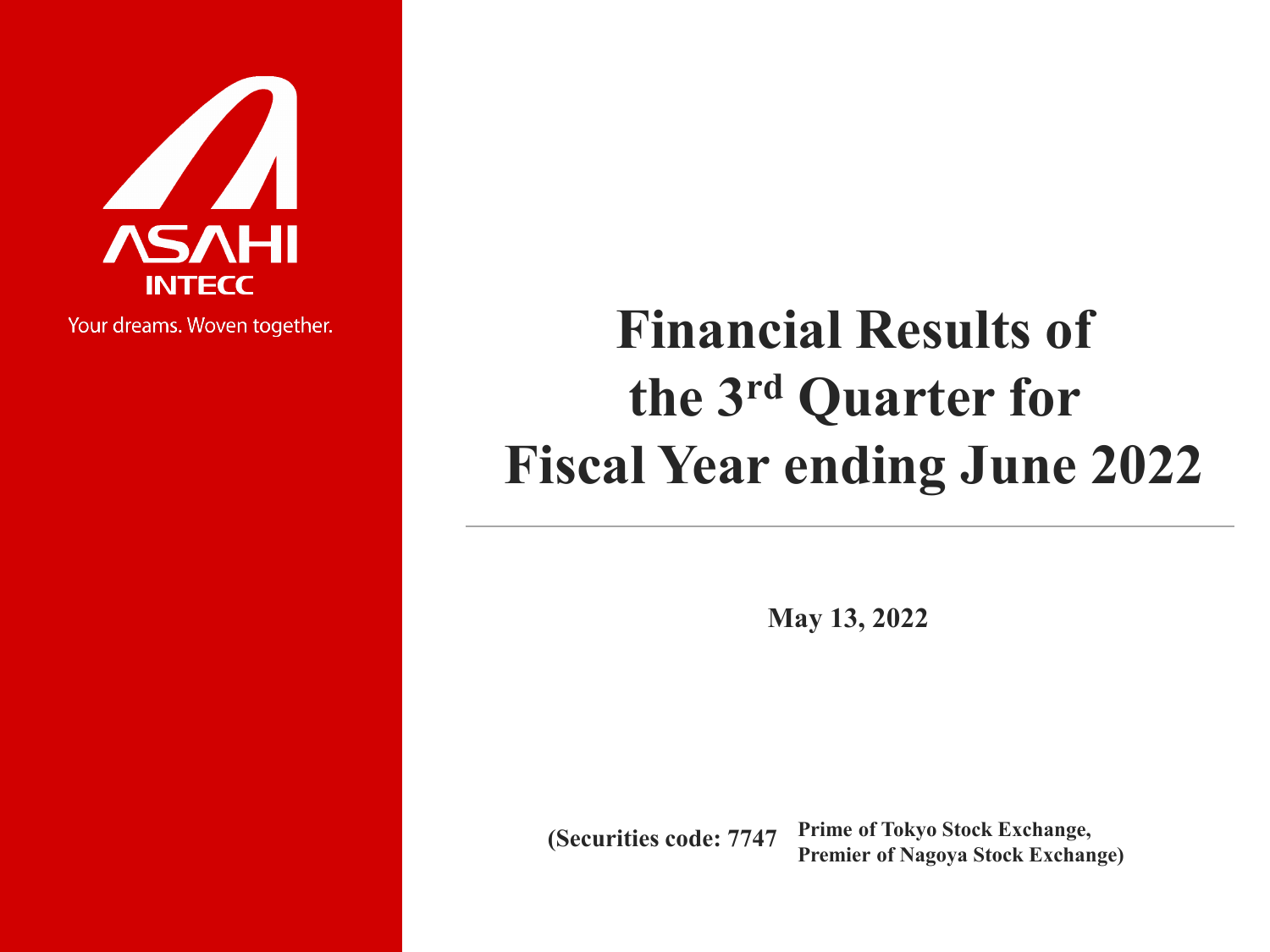

All Rights Reserved.Copyright © 2022 ASAHI INTECC CO.,LTD.

Your dreams. Woven together.

# **Financial Results of the 3rd Quarter for Fiscal Year ending June 2022**

**May 13, 2022**

**Prime of Tokyo Stock Exchange, Prime of Tokyo Stock Exchange,<br>Premier of Nagoya Stock Exchange)**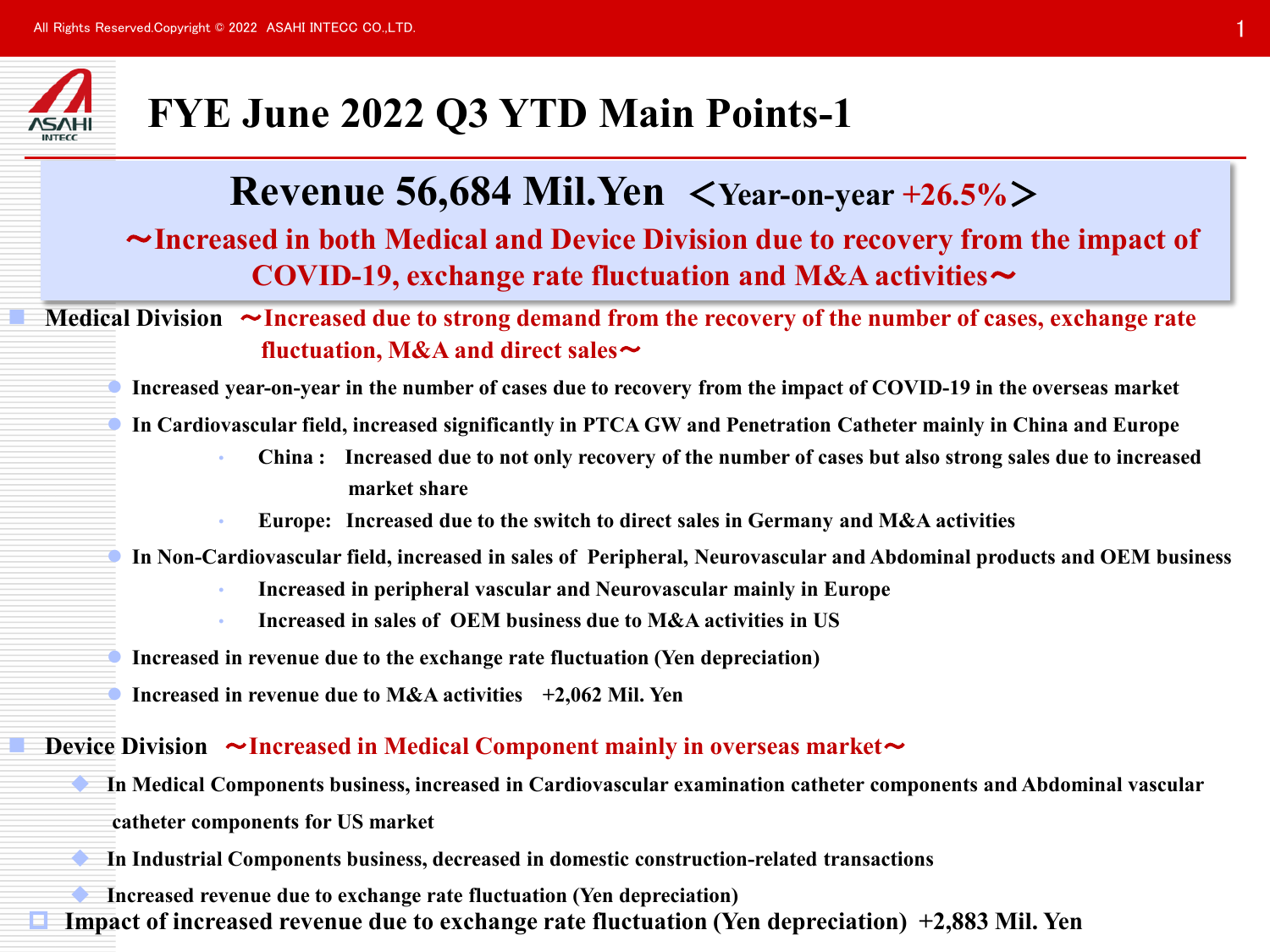

## **FYE June 2022 Q3 YTD Main Points-1**

## **Revenue 56,684 Mil.Yen** <**Year-on-year +26.5%**>

### ~**Increased in both Medical and Device Division due to recovery from the impact of COVID-19, exchange rate fluctuation and M&A activities**~

### **Medical Division** ~**Increased due to strong demand from the recovery of the number of cases, exchange rate fluctuation, M&A and direct sales**~

**Increased year-on-year in the number of cases due to recovery from the impact of COVID-19 in the overseas market**

**In Cardiovascular field, increased significantly in PTCA GW and Penetration Catheter mainly in China and Europe**

- **China : Increased due to not only recovery of the number of cases but also strong sales due to increased market share**
- **Europe: Increased due to the switch to direct sales in Germany and M&A activities**

**In Non-Cardiovascular field, increased in sales of Peripheral, Neurovascular and Abdominal products and OEM business**

- **Increased in peripheral vascular and Neurovascular mainly in Europe**
- **Increased in sales of OEM business due to M&A activities in US**

**Increased in revenue due to the exchange rate fluctuation (Yen depreciation)**

**Increased in revenue due to M&A activities +2,062 Mil. Yen**

#### **Device Division ~Increased in Medical Component mainly in overseas market~**

- **In Medical Components business, increased in Cardiovascular examination catheter components and Abdominal vascular catheter components for US market**
- **In Industrial Components business, decreased in domestic construction-related transactions**
- **Increased revenue due to exchange rate fluctuation (Yen depreciation) Impact of increased revenue due to exchange rate fluctuation (Yen depreciation) +2,883 Mil. Yen**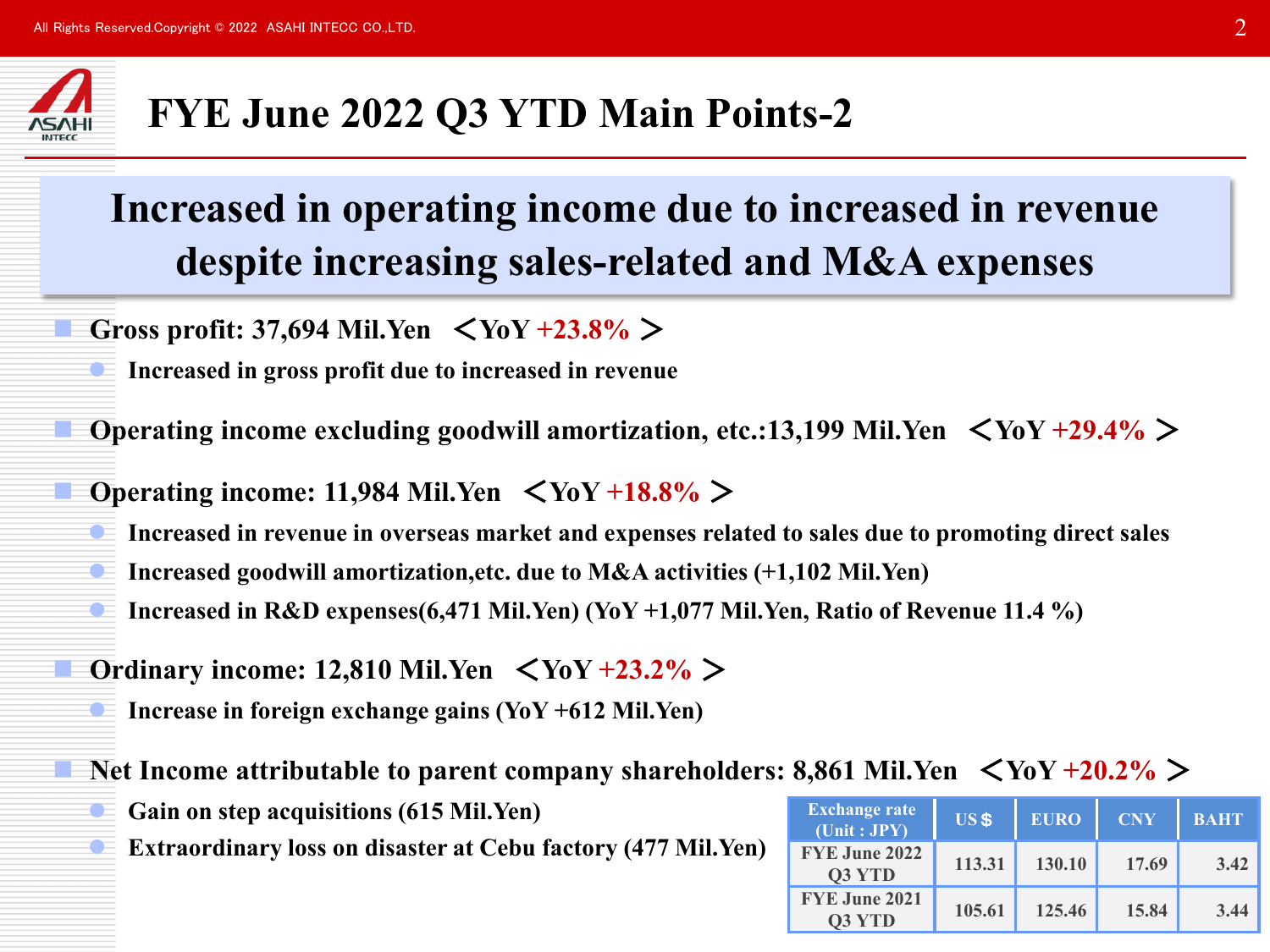

## **FYE June 2022 Q3 YTD Main Points-2**

## **Increased in operating income due to increased in revenue despite increasing sales-related and M&A expenses**

- **Gross profit: 37,694 Mil.Yen** <**YoY +23.8%** >
- **Increased in gross profit due to increased in revenue**

**Operating income excluding goodwill amortization, etc.:13,199 Mil.Yen** <**YoY +29.4%** >

- **Operating income: 11,984 Mil.Yen**  $\langle \text{YoY +18.8\%} \rangle$ 
	- **Increased in revenue in overseas market and expenses related to sales due to promoting direct sales**
	- **Increased goodwill amortization,etc. due to M&A activities (+1,102 Mil.Yen)**
	- **Increased in R&D expenses(6,471 Mil.Yen) (YoY +1,077 Mil.Yen, Ratio of Revenue 11.4 %)**
- **Ordinary income: 12,810 Mil.Yen** <**YoY +23.2%** >
	- **Increase in foreign exchange gains (YoY +612 Mil.Yen)**

**Net Income attributable to parent company shareholders: 8,861 Mil.Yen** <**YoY +20.2%** >

- **Gain on step acquisitions (615 Mil.Yen)**
- **Extraordinary loss on disaster at Cebu factory (477 Mil.Yen)**

| <b>Exchange rate</b><br>$\overline{(\text{Unit}:JPY)}$ | <b>US\$</b> | <b>EURO</b> | <b>CNY</b> | <b>BAHT</b> |
|--------------------------------------------------------|-------------|-------------|------------|-------------|
| FYE June 2022<br>Q3 YTD                                | 113.31      | 130.10      | 17.69      | 3.42        |
| FYE June 2021<br><b>O3 YTD</b>                         | 105.61      | 125.46      | 15.84      | 3.44        |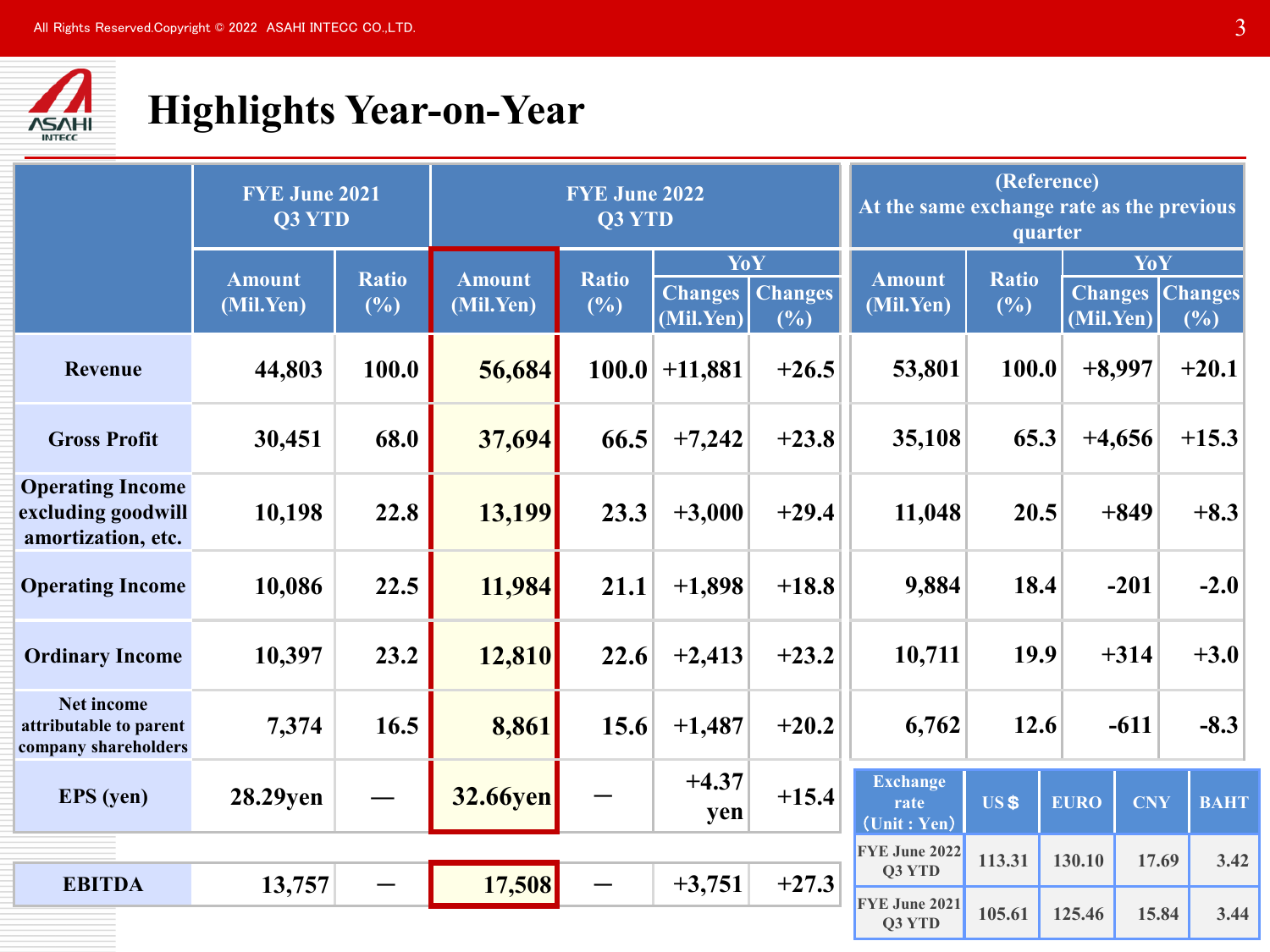

## **Highlights Year-on-Year**

|                                                                     | <b>FYE June 2021</b><br>Q3 YTD |              |                 | <b>FYE June 2022</b><br><b>Q3 YTD</b><br>YoY |                             |                       |                                                                    | (Reference)<br>At the same exchange rate as the previous<br>quarter |             |                             |                       |
|---------------------------------------------------------------------|--------------------------------|--------------|-----------------|----------------------------------------------|-----------------------------|-----------------------|--------------------------------------------------------------------|---------------------------------------------------------------------|-------------|-----------------------------|-----------------------|
|                                                                     | <b>Amount</b>                  | <b>Ratio</b> | <b>Amount</b>   | <b>Ratio</b>                                 |                             |                       | <b>Amount</b>                                                      | <b>Ratio</b>                                                        |             | YoY                         |                       |
|                                                                     | (Mil.Yen)                      | (%)          | (Mil.Yen)       | (%)                                          | <b>Changes</b><br>(Mil.Yen) | <b>Changes</b><br>(%) | (Mil.Yen)                                                          | (%)                                                                 |             | <b>Changes</b><br>(Mil.Yen) | <b>Changes</b><br>(%) |
| Revenue                                                             | 44,803                         | 100.0        | 56,684          | 100.0                                        | $+11,881$                   | $+26.5$               | 53,801                                                             | 100.0                                                               |             | $+8,997$                    | $+20.1$               |
| <b>Gross Profit</b>                                                 | 30,451                         | 68.0         | 37,694          | 66.5                                         | $+7,242$                    | $+23.8$               | 35,108                                                             | 65.3                                                                |             | $+4,656$                    | $+15.3$               |
| <b>Operating Income</b><br>excluding goodwill<br>amortization, etc. | 10,198                         | 22.8         | 13,199          | 23.3                                         | $+3,000$                    | $+29.4$               | 11,048                                                             | 20.5                                                                |             | $+849$                      | $+8.3$                |
| <b>Operating Income</b>                                             | 10,086                         | 22.5         | 11,984          | 21.1                                         | $+1,898$                    | $+18.8$               | 9,884                                                              | 18.4                                                                |             | $-201$                      | $-2.0$                |
| <b>Ordinary Income</b>                                              | 10,397                         | 23.2         | 12,810          | 22.6                                         | $+2,413$                    | $+23.2$               | 10,711                                                             | 19.9                                                                |             | $+314$                      | $+3.0$                |
| <b>Net income</b><br>attributable to parent<br>company shareholders | 7,374                          | 16.5         | 8,861           | 15.6                                         | $+1,487$                    | $+20.2$               | 6,762                                                              | 12.6                                                                |             | $-611$                      | $-8.3$                |
| <b>EPS</b> (yen)                                                    | 28.29yen                       |              | <b>32.66yen</b> |                                              | $+4.37$<br>yen              | $+15.4$               | <b>Exchange</b><br>rate<br>$(\overline{\text{Unit}} : \text{Yen})$ | <b>US\$</b>                                                         | <b>EURO</b> | <b>CNY</b>                  | <b>BAHT</b>           |
|                                                                     |                                |              |                 |                                              |                             |                       | FYE June 2022                                                      | 113.31                                                              | 130.10      | 17.69                       | 3.42                  |
| <b>EBITDA</b>                                                       | 13,757                         |              | 17,508          |                                              | $+3,751$                    | $+27.3$               | <b>O3 YTD</b><br>FYE June 2021                                     |                                                                     |             |                             |                       |
|                                                                     |                                |              |                 |                                              |                             |                       | Q3 YTD                                                             | 105.61                                                              | 125.46      | 15.84                       | 3.44                  |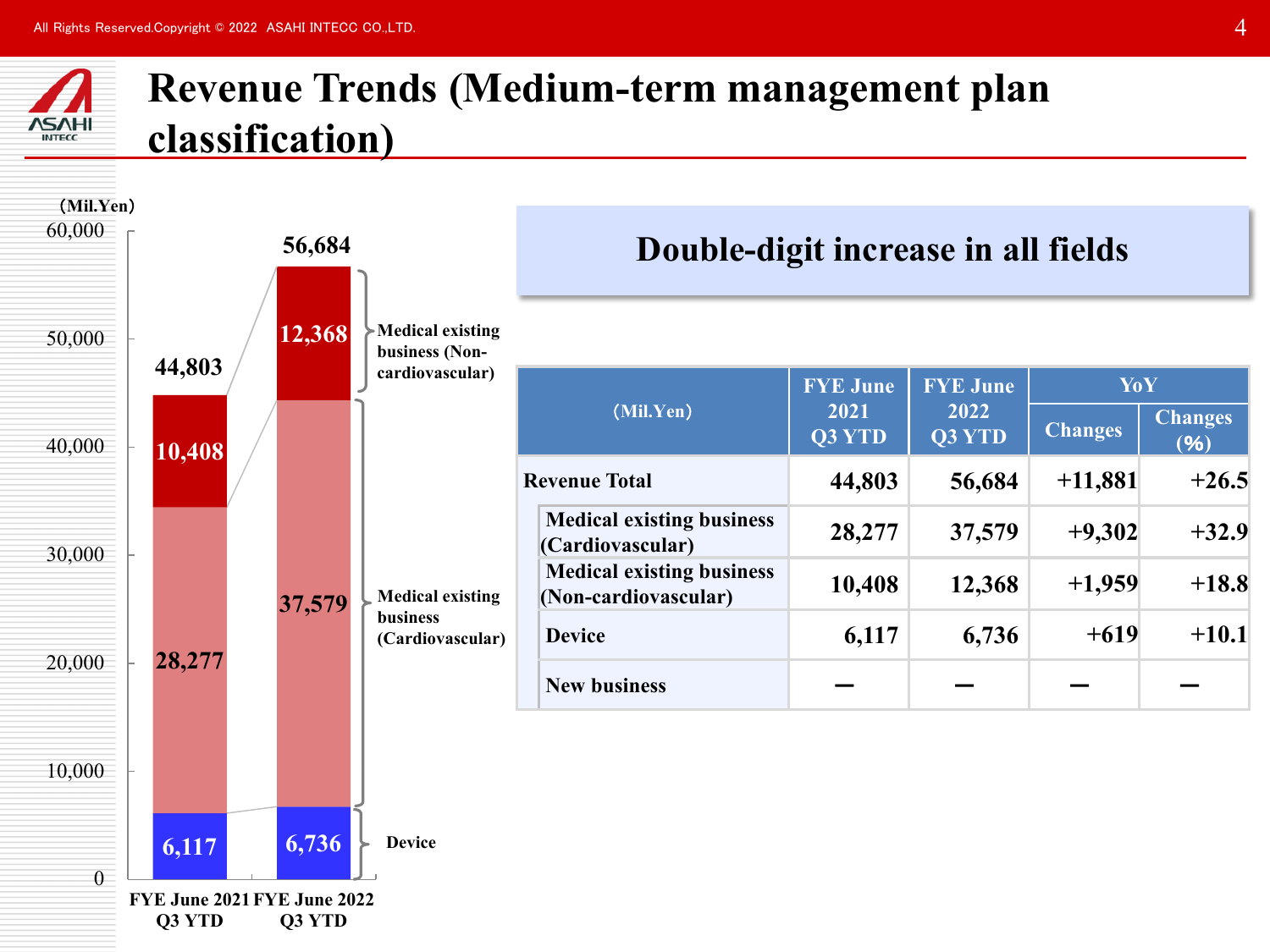



**Q3 YTD Q3 YTD**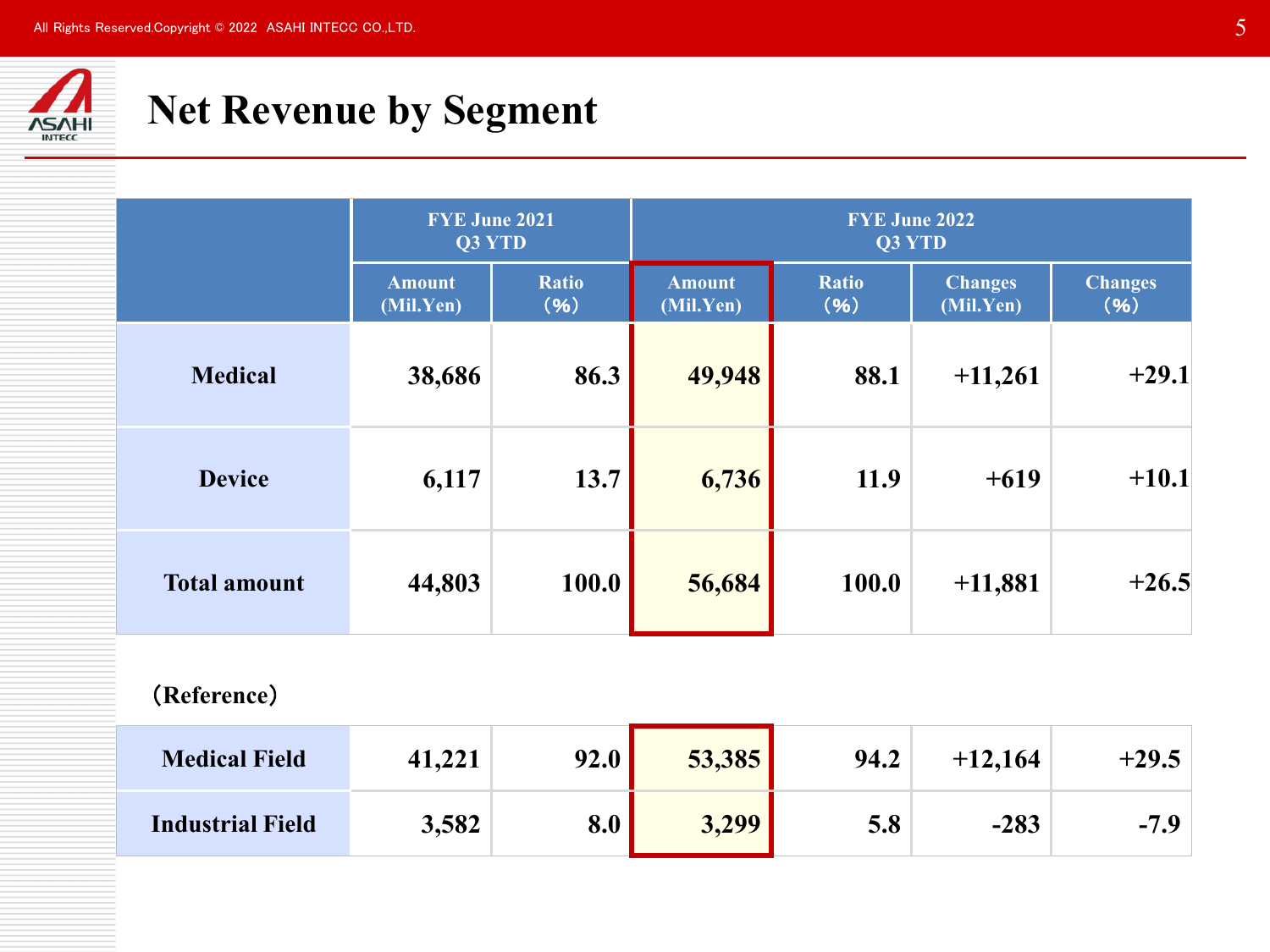

## **Net Revenue by Segment**

|                     | FYE June 2021<br>Q3 YTD    |                      | <b>FYE June 2022</b><br>Q3 YTD |                      |                             |                        |  |  |
|---------------------|----------------------------|----------------------|--------------------------------|----------------------|-----------------------------|------------------------|--|--|
|                     | <b>Amount</b><br>(Mil.Yen) | <b>Ratio</b><br>(96) | <b>Amount</b><br>(Mil.Yen)     | <b>Ratio</b><br>(96) | <b>Changes</b><br>(Mil.Yen) | <b>Changes</b><br>(96) |  |  |
| <b>Medical</b>      | 38,686                     | 86.3                 | 49,948                         | 88.1                 | $+11,261$                   | $+29.1$                |  |  |
| <b>Device</b>       | 6,117                      | 13.7                 | 6,736                          | 11.9                 | $+619$                      | $+10.1$                |  |  |
| <b>Total amount</b> | 44,803                     | 100.0                | 56,684                         | 100.0                | $+11,881$                   | $+26.5$                |  |  |

### (**Reference**)

| <b>Medical Field</b>    | 41,221 | 92.0 | 53,385 | 94.2 | $+12,164$ | $+29.5$ |
|-------------------------|--------|------|--------|------|-----------|---------|
| <b>Industrial Field</b> | 3,582  | 8.0  | 3,299  | 5.8  | $-283$    | $-7.9$  |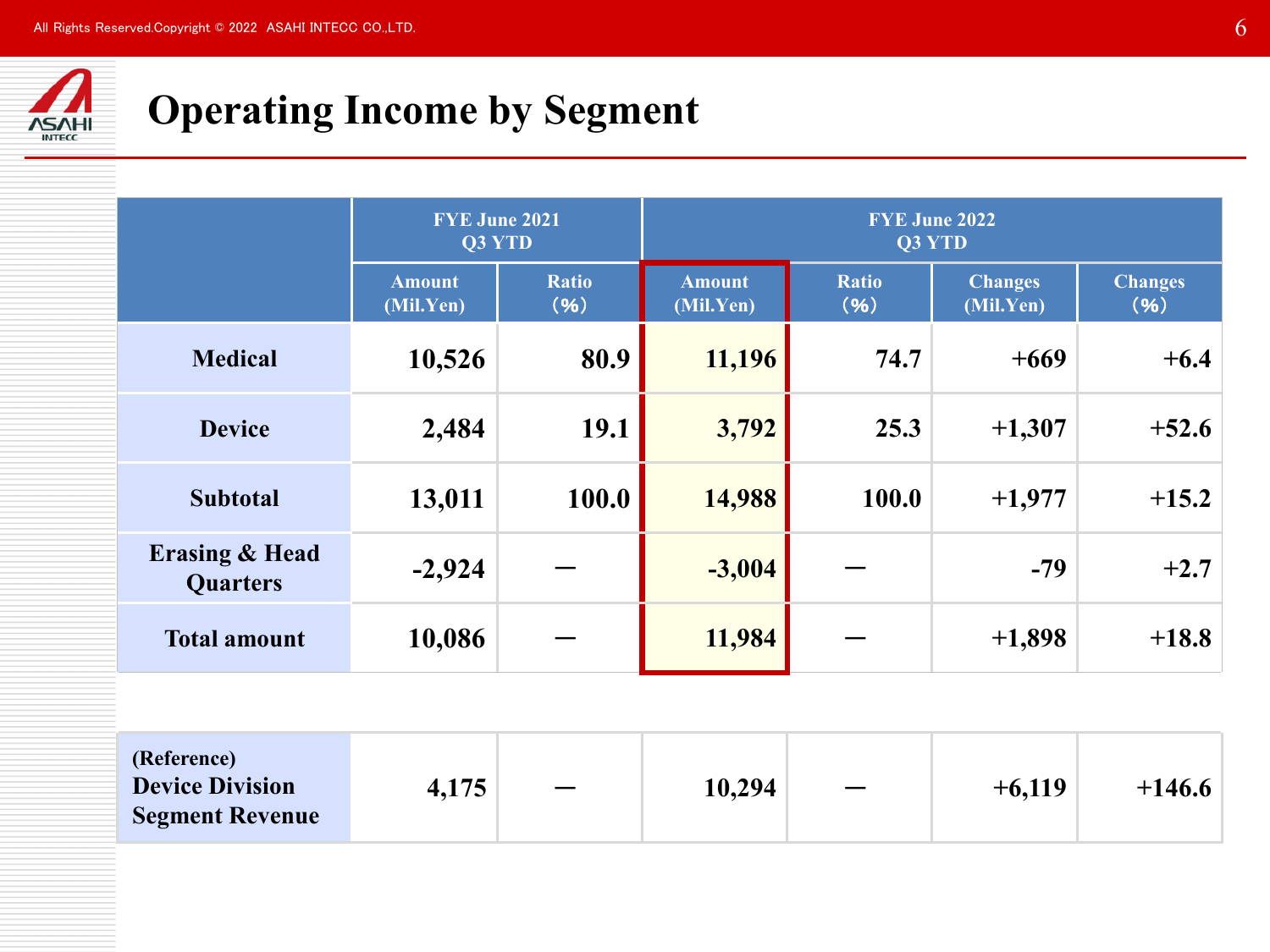

# **Operating Income by Segment**

|                                              | <b>FYE June 2021</b><br>Q3 YTD |                      | <b>FYE June 2022</b><br>Q3 YTD |                      |                             |                        |  |  |
|----------------------------------------------|--------------------------------|----------------------|--------------------------------|----------------------|-----------------------------|------------------------|--|--|
|                                              | <b>Amount</b><br>(Mil.Yen)     | <b>Ratio</b><br>(96) | <b>Amount</b><br>(Mil.Yen)     | <b>Ratio</b><br>(96) | <b>Changes</b><br>(Mil.Yen) | <b>Changes</b><br>(96) |  |  |
| <b>Medical</b>                               | 10,526                         | 80.9                 | 11,196                         | 74.7                 | $+669$                      | $+6.4$                 |  |  |
| <b>Device</b>                                | 2,484                          | 19.1                 | 3,792                          | 25.3                 | $+1,307$                    | $+52.6$                |  |  |
| <b>Subtotal</b>                              | 13,011                         | 100.0                | 14,988                         | 100.0                | $+1,977$                    | $+15.2$                |  |  |
| <b>Erasing &amp; Head</b><br><b>Quarters</b> | $-2,924$                       |                      | $-3,004$                       |                      | $-79$                       | $+2.7$                 |  |  |
| <b>Total amount</b>                          | 10,086                         |                      | 11,984                         |                      | $+1,898$                    | $+18.8$                |  |  |
|                                              |                                |                      |                                |                      |                             |                        |  |  |

| (Reference)<br><b>Device Division</b><br><b>Segment Revenue</b> | 4,175 |  | 10,294 | $\overline{\phantom{m}}$ | $+6,119$ | $+146.6$ |
|-----------------------------------------------------------------|-------|--|--------|--------------------------|----------|----------|
|-----------------------------------------------------------------|-------|--|--------|--------------------------|----------|----------|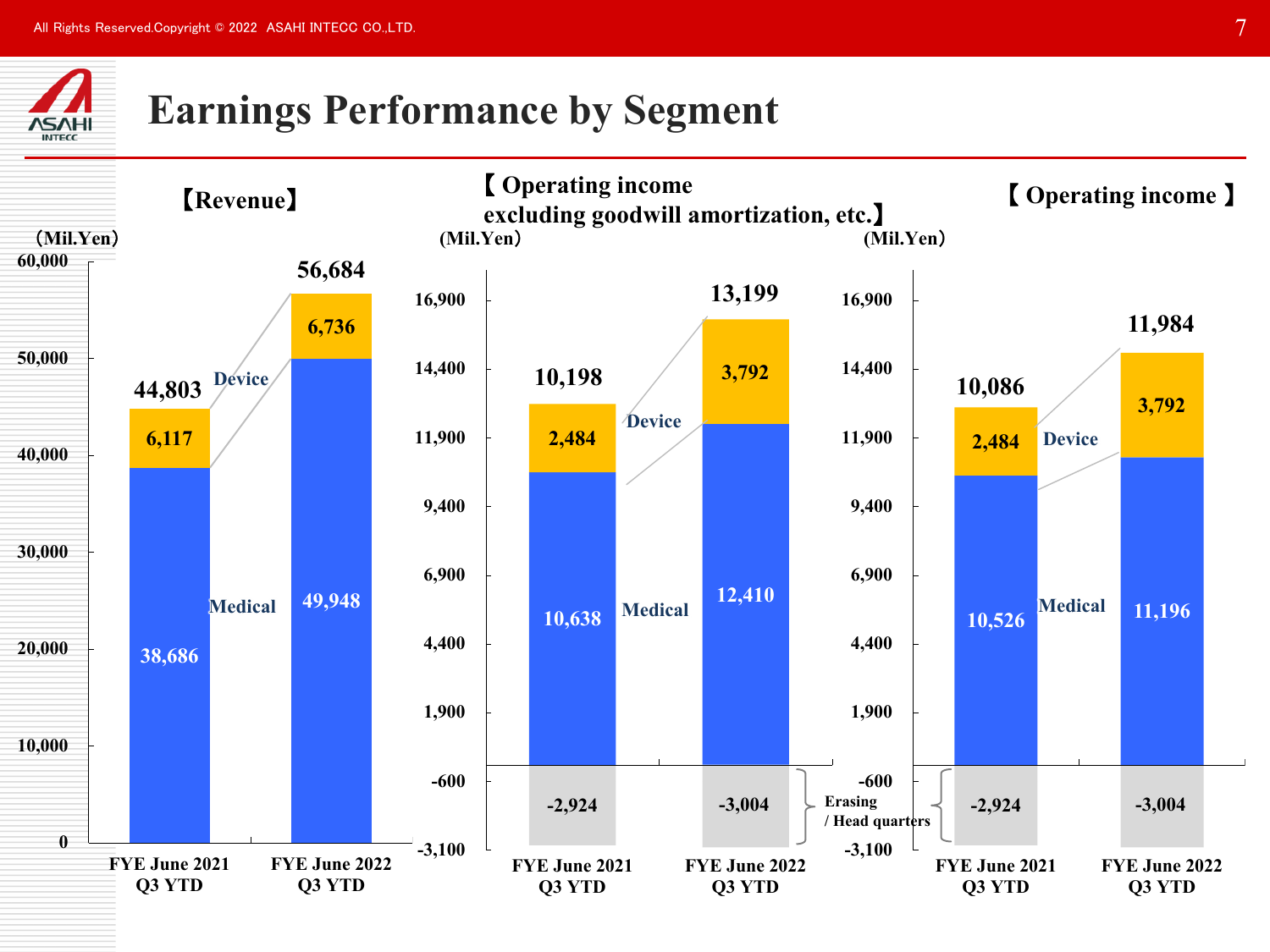

## **Earnings Performance by Segment**

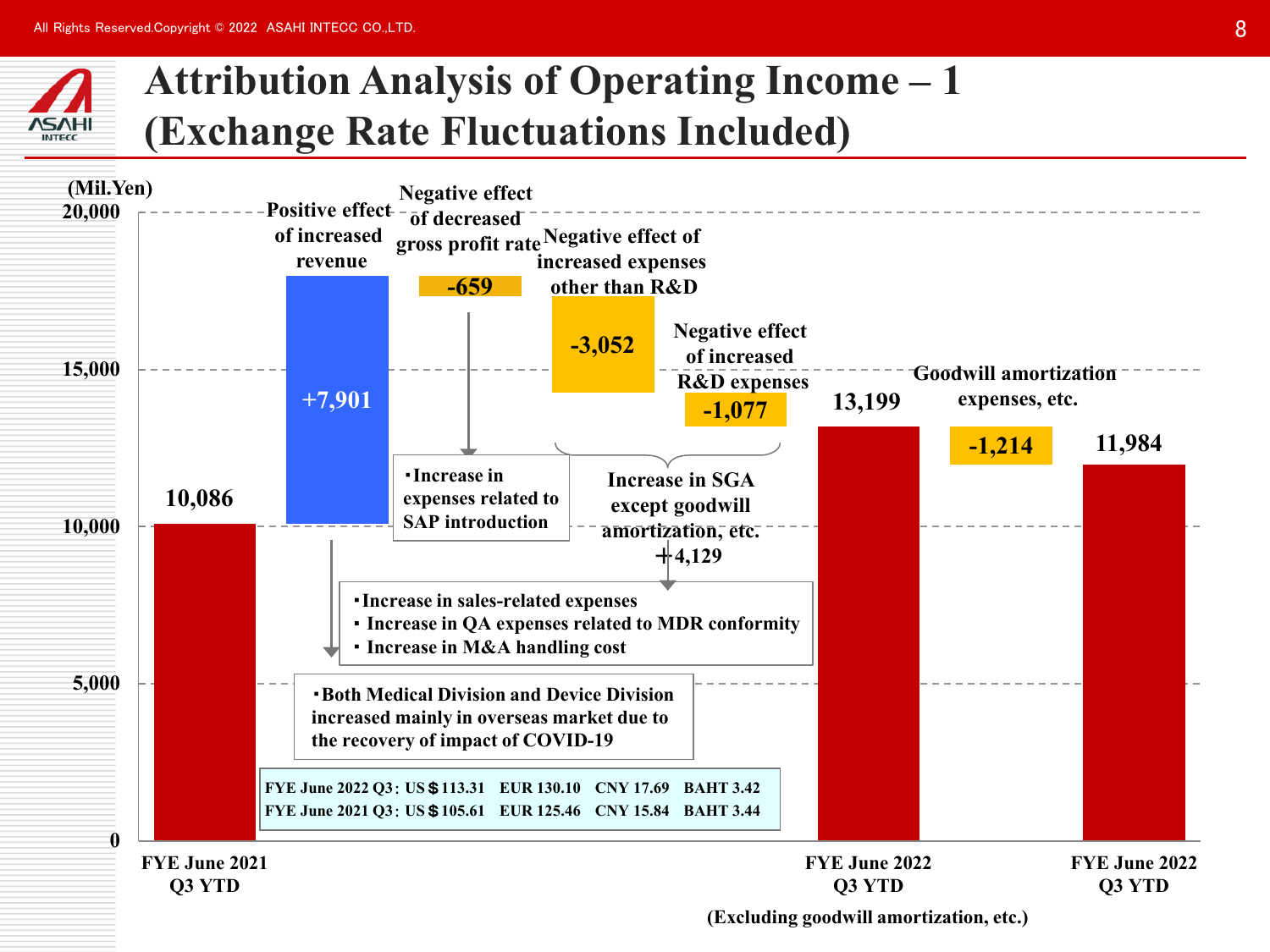

## **Attribution Analysis of Operating Income – 1 (Exchange Rate Fluctuations Included)**

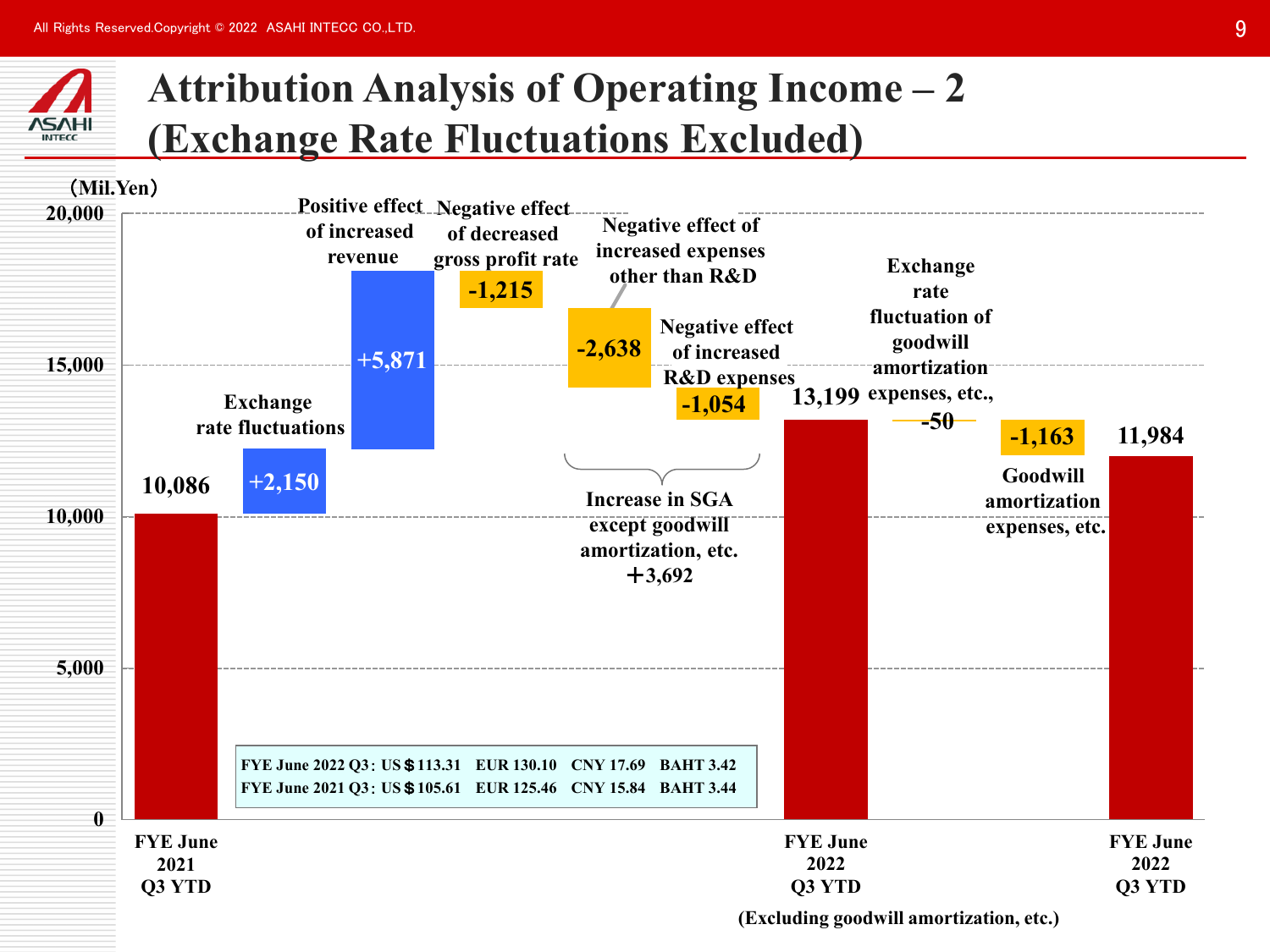

## **Attribution Analysis of Operating Income – 2 (Exchange Rate Fluctuations Excluded)**

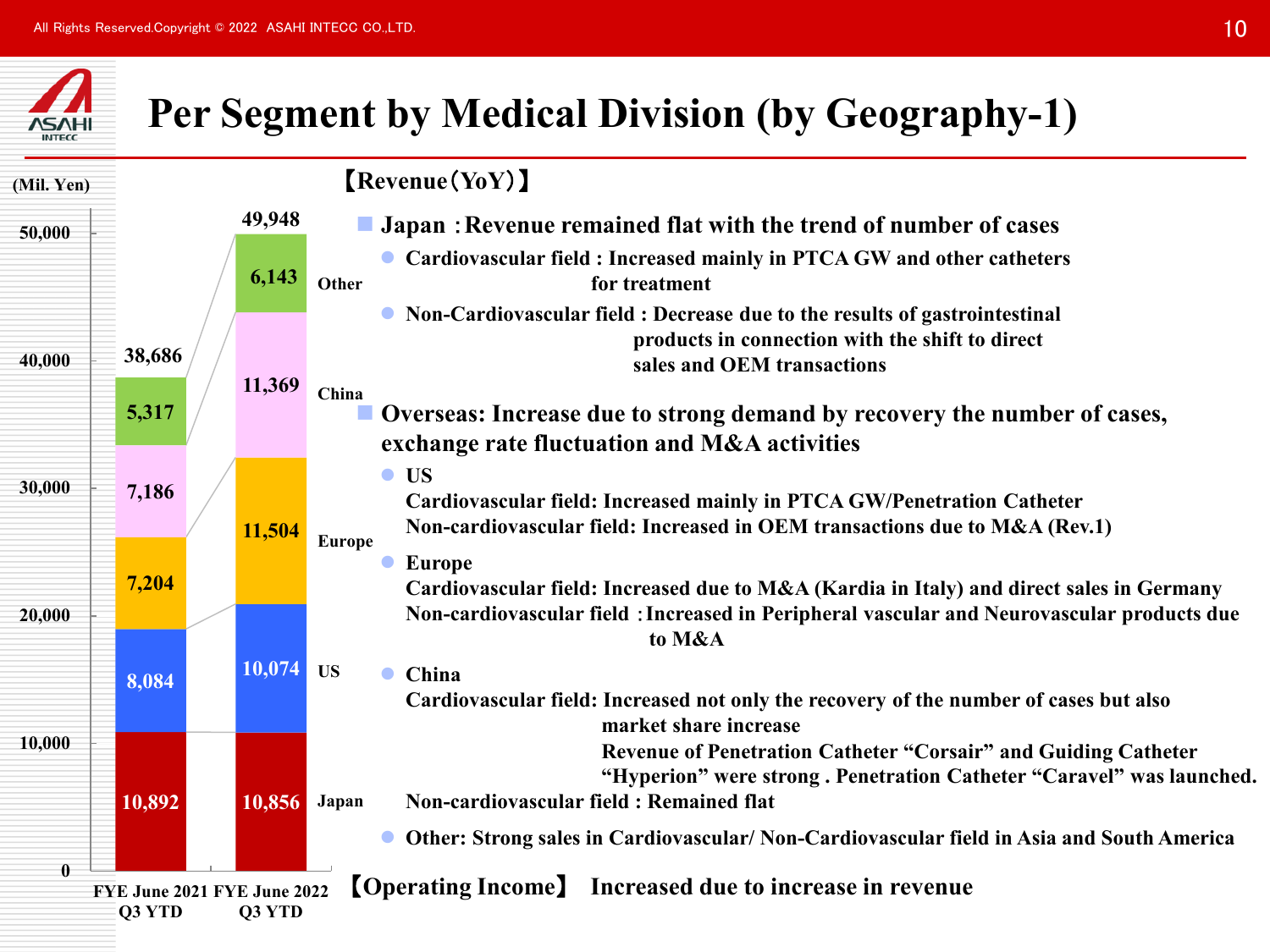

## **Per Segment by Medical Division (by Geography-1)**

| (Mil. Yen)   |                                       |        | [Revenue(YoY)]                                                                                                                                                                                                    |                                                                                                                                   |
|--------------|---------------------------------------|--------|-------------------------------------------------------------------------------------------------------------------------------------------------------------------------------------------------------------------|-----------------------------------------------------------------------------------------------------------------------------------|
| 50,000       |                                       | 49,948 | Japan: Revenue remained flat with the trend of number of cases                                                                                                                                                    |                                                                                                                                   |
|              |                                       | 6,143  | Cardiovascular field : Increased mainly in PTCA GW and other catheters<br>for treatment<br>Other                                                                                                                  |                                                                                                                                   |
| 40,000       | 38,686                                |        | Non-Cardiovascular field : Decrease due to the results of gastrointestinal<br>products in connection with the shift to direct<br>sales and OEM transactions                                                       |                                                                                                                                   |
|              | 5,317                                 | 11,369 |                                                                                                                                                                                                                   | China<br>Overseas: Increase due to strong demand by recovery the number of cases,<br>exchange rate fluctuation and M&A activities |
| 30,000       | 7,186                                 | 11,504 | <b>US</b><br>$\bullet$<br>Cardiovascular field: Increased mainly in PTCA GW/Penetration Catheter<br>Non-cardiovascular field: Increased in OEM transactions due to M&A (Rev.1)<br><b>Europe</b>                   |                                                                                                                                   |
| 20,000       | 7,204                                 |        | <b>Europe</b><br>Cardiovascular field: Increased due to M&A (Kardia in Italy) and direct sales in Germany<br>Non-cardiovascular field : Increased in Peripheral vascular and Neurovascular products due<br>to M&A |                                                                                                                                   |
|              | 8,084                                 | 10,074 | <b>US</b><br>China<br>$\bullet$<br>Cardiovascular field: Increased not only the recovery of the number of cases but also<br>market share increase                                                                 |                                                                                                                                   |
| 10,000       | 10,892                                | 10,856 | Revenue of Penetration Catheter "Corsair" and Guiding Catheter<br>"Hyperion" were strong. Penetration Catheter "Caravel" was launched.<br>Non-cardiovascular field: Remained flat<br>Japan                        |                                                                                                                                   |
| $\mathbf{0}$ |                                       |        | Other: Strong sales in Cardiovascular/ Non-Cardiovascular field in Asia and South America<br>$\bullet$                                                                                                            |                                                                                                                                   |
|              | FYE June 2021 FYE June 2022<br>Q3 YTD | Q3 YTD | <b>[Operating Income]</b> Increased due to increase in revenue                                                                                                                                                    |                                                                                                                                   |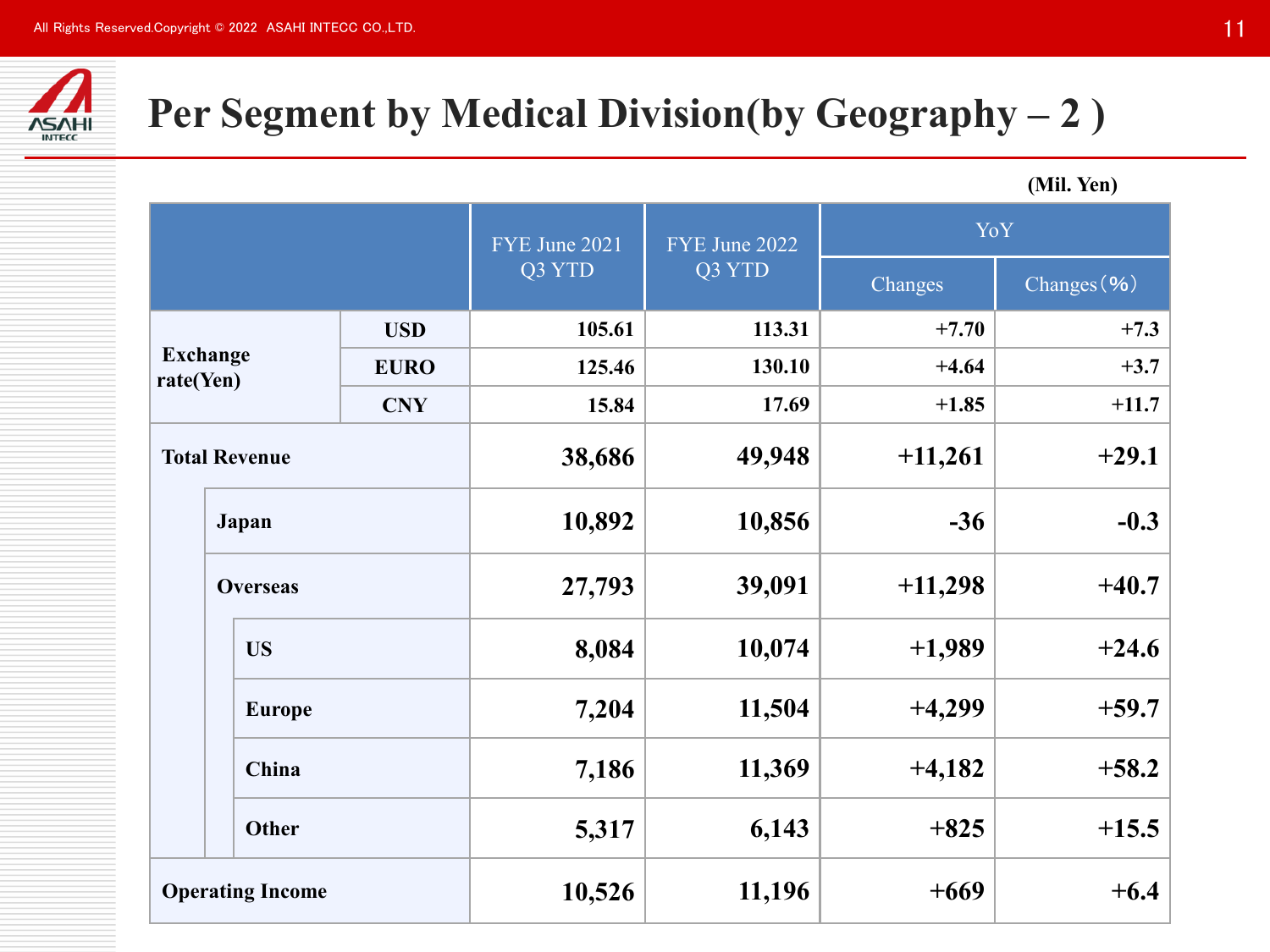

# **Per Segment by Medical Division(by Geography – 2 )**

**(Mil. Yen)**

|                      |                         |             | FYE June 2021 | FYE June 2022 | YoY       |             |  |
|----------------------|-------------------------|-------------|---------------|---------------|-----------|-------------|--|
|                      |                         |             | Q3 YTD        | Q3 YTD        | Changes   | Changes (%) |  |
|                      |                         | <b>USD</b>  | 105.61        | 113.31        | $+7.70$   | $+7.3$      |  |
| rate(Yen)            | <b>Exchange</b>         | <b>EURO</b> | 125.46        | 130.10        | $+4.64$   | $+3.7$      |  |
|                      |                         | <b>CNY</b>  | 15.84         | 17.69         | $+1.85$   | $+11.7$     |  |
| <b>Total Revenue</b> |                         | 38,686      | 49,948        | $+11,261$     | $+29.1$   |             |  |
|                      | Japan                   |             | 10,892        | 10,856        | $-36$     | $-0.3$      |  |
|                      | <b>Overseas</b>         |             | 27,793        | 39,091        | $+11,298$ | $+40.7$     |  |
|                      | <b>US</b>               |             | 8,084         | 10,074        | $+1,989$  | $+24.6$     |  |
|                      | <b>Europe</b>           |             |               | 11,504        | $+4,299$  | $+59.7$     |  |
|                      | China<br><b>Other</b>   |             | 7,186         | 11,369        | $+4,182$  | $+58.2$     |  |
|                      |                         |             | 5,317         | 6,143         | $+825$    | $+15.5$     |  |
|                      | <b>Operating Income</b> |             | 10,526        | 11,196        | $+669$    | $+6.4$      |  |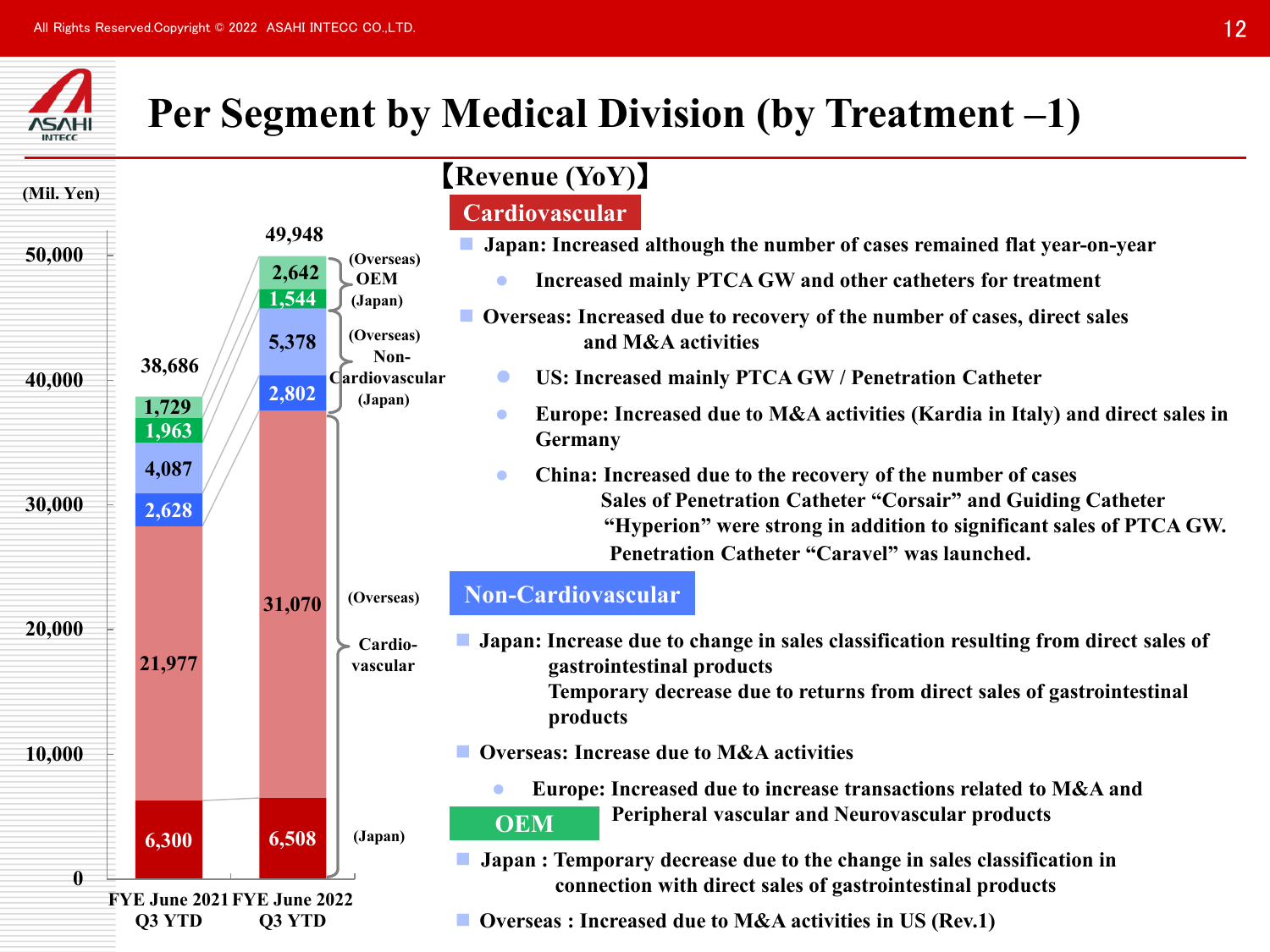

## **Per Segment by Medical Division (by Treatment –1)**

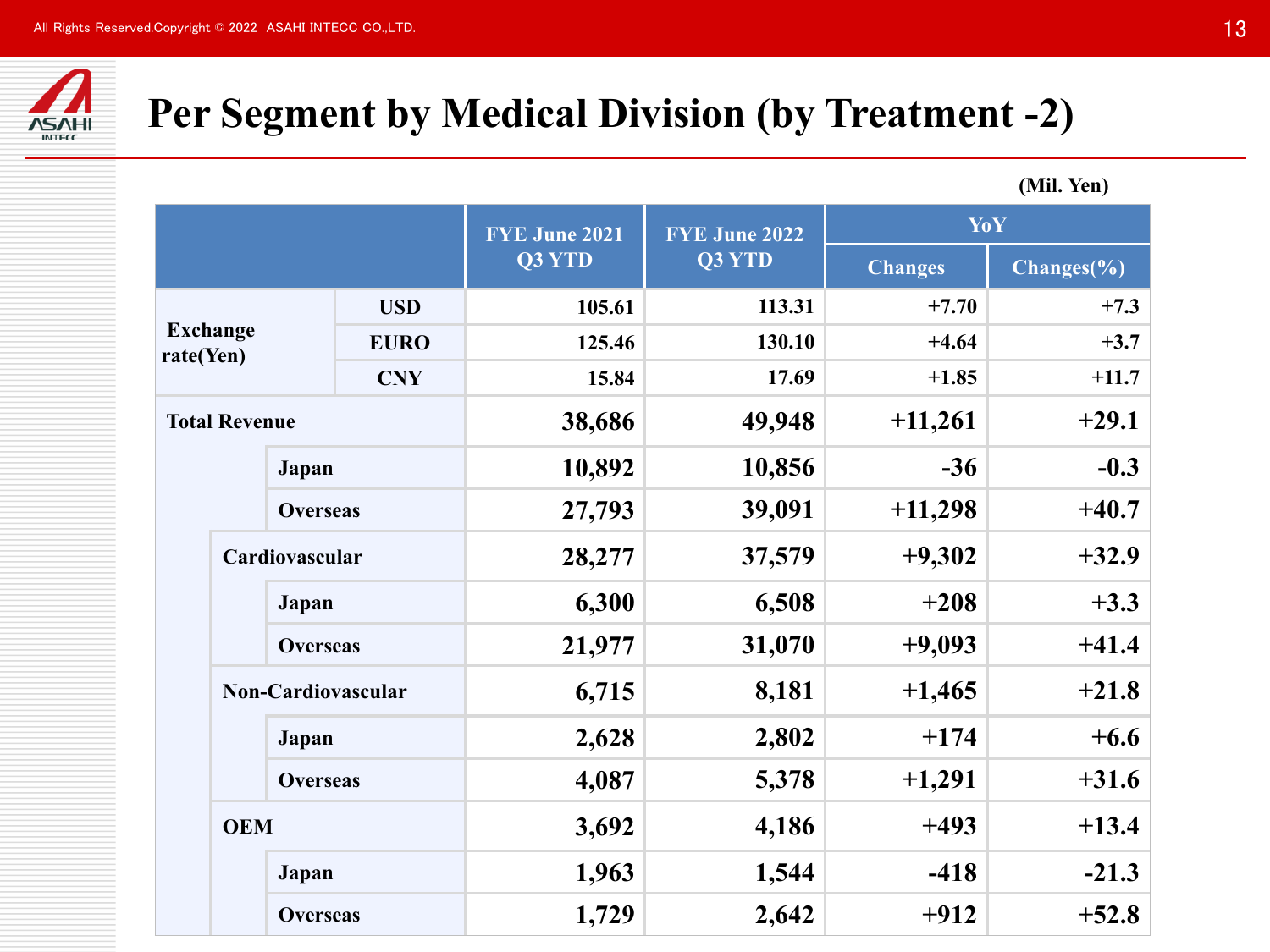

## **Per Segment by Medical Division (by Treatment -2)**

|                              |                      |                 | <b>FYE June 2021</b> | <b>FYE June 2022</b> | YoY            |            |  |  |
|------------------------------|----------------------|-----------------|----------------------|----------------------|----------------|------------|--|--|
|                              |                      |                 | Q3 YTD               | Q3 YTD               | <b>Changes</b> | Changes(%) |  |  |
|                              |                      | <b>USD</b>      | 105.61               | 113.31               | $+7.70$        | $+7.3$     |  |  |
| <b>Exchange</b><br>rate(Yen) |                      | <b>EURO</b>     | 125.46               | 130.10               | $+4.64$        | $+3.7$     |  |  |
|                              |                      | <b>CNY</b>      | 15.84                | 17.69                | $+1.85$        | $+11.7$    |  |  |
|                              | <b>Total Revenue</b> |                 | 38,686               | 49,948               | $+11,261$      | $+29.1$    |  |  |
| Japan                        |                      | 10,892          | 10,856               | $-36$                | $-0.3$         |            |  |  |
|                              |                      | <b>Overseas</b> | 27,793               | 39,091               | $+11,298$      | $+40.7$    |  |  |
|                              | Cardiovascular       |                 | 28,277               | 37,579               | $+9,302$       | $+32.9$    |  |  |
|                              | Japan                |                 | 6,300                | 6,508                | $+208$         | $+3.3$     |  |  |
|                              |                      | <b>Overseas</b> | 21,977               | 31,070               | $+9,093$       | $+41.4$    |  |  |
|                              | Non-Cardiovascular   |                 | 6,715                | 8,181                | $+1,465$       | $+21.8$    |  |  |
|                              | Japan                |                 | 2,628                | 2,802                | $+174$         | $+6.6$     |  |  |
|                              |                      | <b>Overseas</b> | 4,087                | 5,378                | $+1,291$       | $+31.6$    |  |  |
|                              | <b>OEM</b>           |                 | 3,692                | 4,186                | $+493$         | $+13.4$    |  |  |
|                              | Japan                |                 | 1,963                | 1,544                | $-418$         | $-21.3$    |  |  |
|                              |                      | <b>Overseas</b> | 1,729                | 2,642                | $+912$         | $+52.8$    |  |  |

**(Mil. Yen)**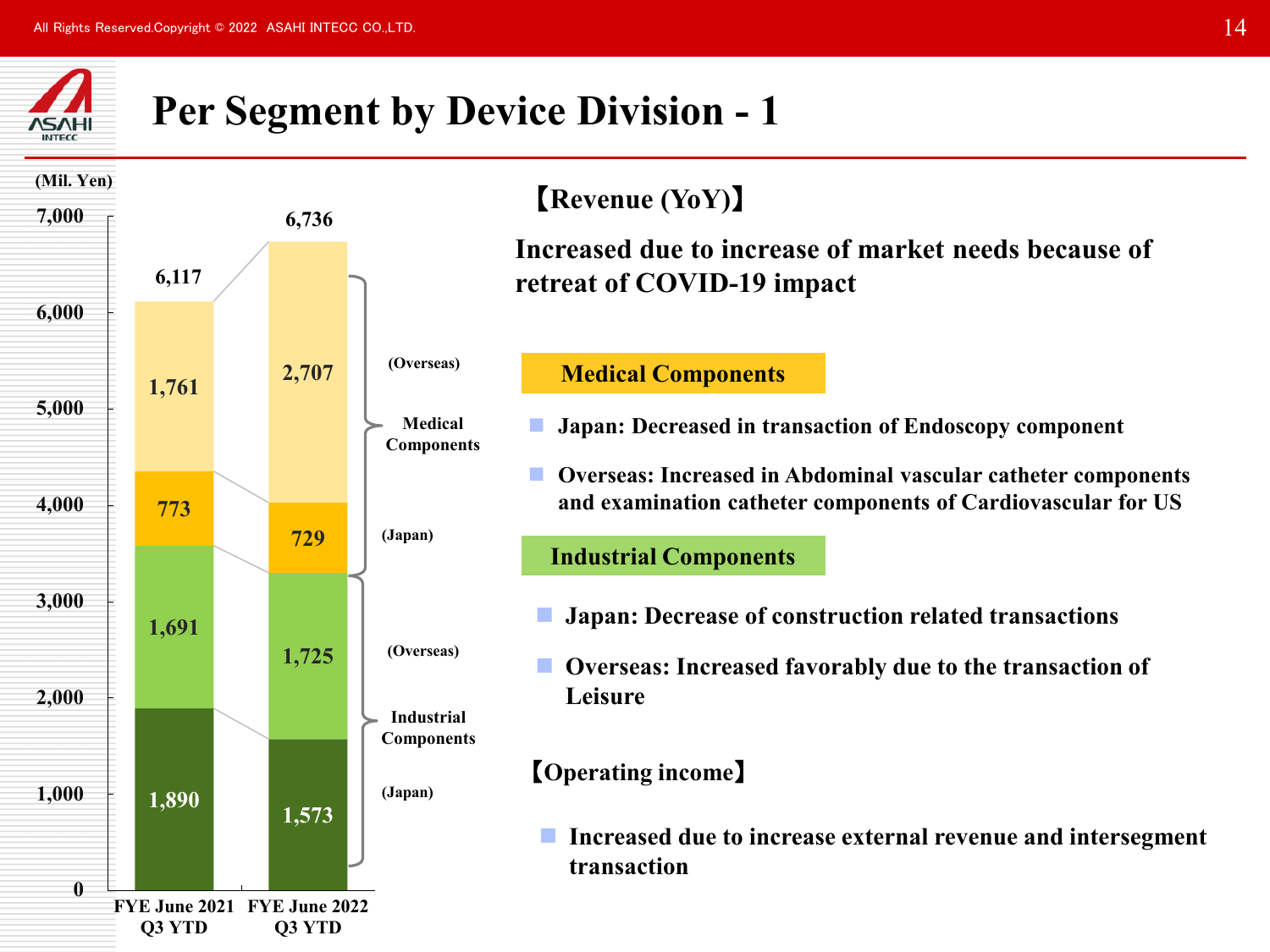

## **Per Segment by Device Division - 1**



### 【**Revenue (YoY)**】

**Increased due to increase of market needs because of retreat of COVID-19 impact**

#### **Medical Components**

- **Japan: Decreased in transaction of Endoscopy component**
- **Overseas: Increased in Abdominal vascular catheter components and examination catheter components of Cardiovascular for US**

#### **Industrial Components**

- **Japan: Decrease of construction related transactions**
- **Overseas: Increased favorably due to the transaction of Leisure**

#### 【**Operating income**】

 **Increased due to increase external revenue and intersegment transaction**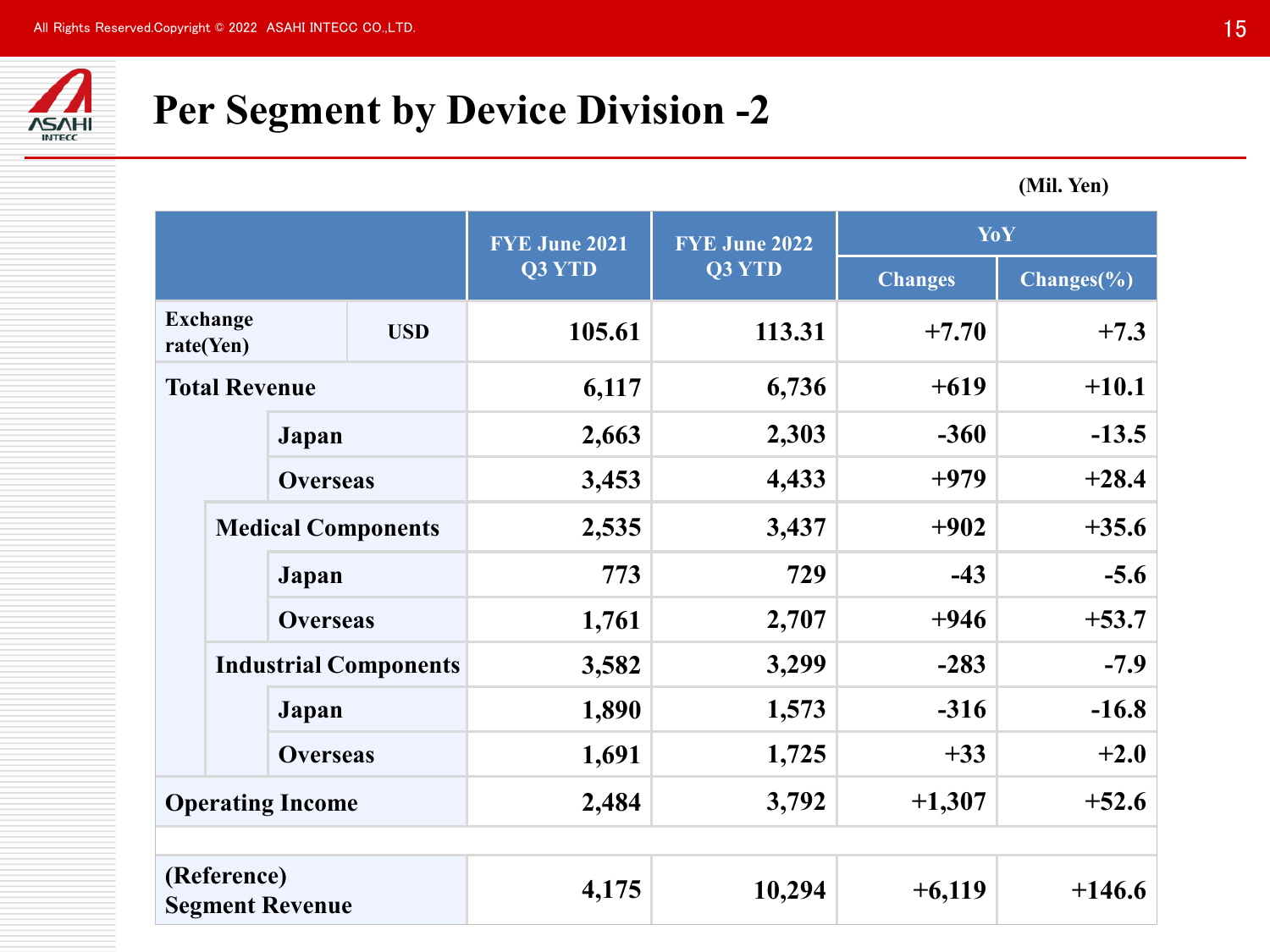

## **Per Segment by Device Division -2**

**(Mil. Yen)**

|                                       |                                                                               |                 |                              | <b>FYE June 2021</b> | <b>FYE June 2022</b> | YoY            |               |
|---------------------------------------|-------------------------------------------------------------------------------|-----------------|------------------------------|----------------------|----------------------|----------------|---------------|
|                                       |                                                                               |                 |                              | Q3 YTD               | Q3 YTD               | <b>Changes</b> | $Changes(\%)$ |
|                                       | <b>Exchange</b><br>rate(Yen)                                                  |                 | <b>USD</b>                   | 105.61               | 113.31               | $+7.70$        | $+7.3$        |
|                                       | <b>Total Revenue</b><br>Japan<br><b>Overseas</b><br><b>Medical Components</b> |                 | 6,117                        | 6,736                | $+619$               | $+10.1$        |               |
|                                       |                                                                               |                 | 2,663                        | 2,303                | $-360$               | $-13.5$        |               |
|                                       |                                                                               |                 | 3,453                        | 4,433                | $+979$               | $+28.4$        |               |
|                                       |                                                                               |                 |                              | 2,535                | 3,437                | $+902$         | $+35.6$       |
|                                       |                                                                               | Japan           |                              | 773                  | 729                  | $-43$          | $-5.6$        |
|                                       |                                                                               | <b>Overseas</b> |                              | 1,761                | 2,707                | $+946$         | $+53.7$       |
|                                       |                                                                               |                 | <b>Industrial Components</b> | 3,582                | 3,299                | $-283$         | $-7.9$        |
|                                       |                                                                               | Japan           |                              | 1,890                | 1,573                | $-316$         | $-16.8$       |
|                                       |                                                                               | <b>Overseas</b> |                              | 1,691                | 1,725                | $+33$          | $+2.0$        |
|                                       | <b>Operating Income</b>                                                       |                 | 2,484                        | 3,792                | $+1,307$             | $+52.6$        |               |
|                                       |                                                                               |                 |                              |                      |                      |                |               |
| (Reference)<br><b>Segment Revenue</b> |                                                                               | 4,175           | 10,294                       | $+6,119$             | $+146.6$             |                |               |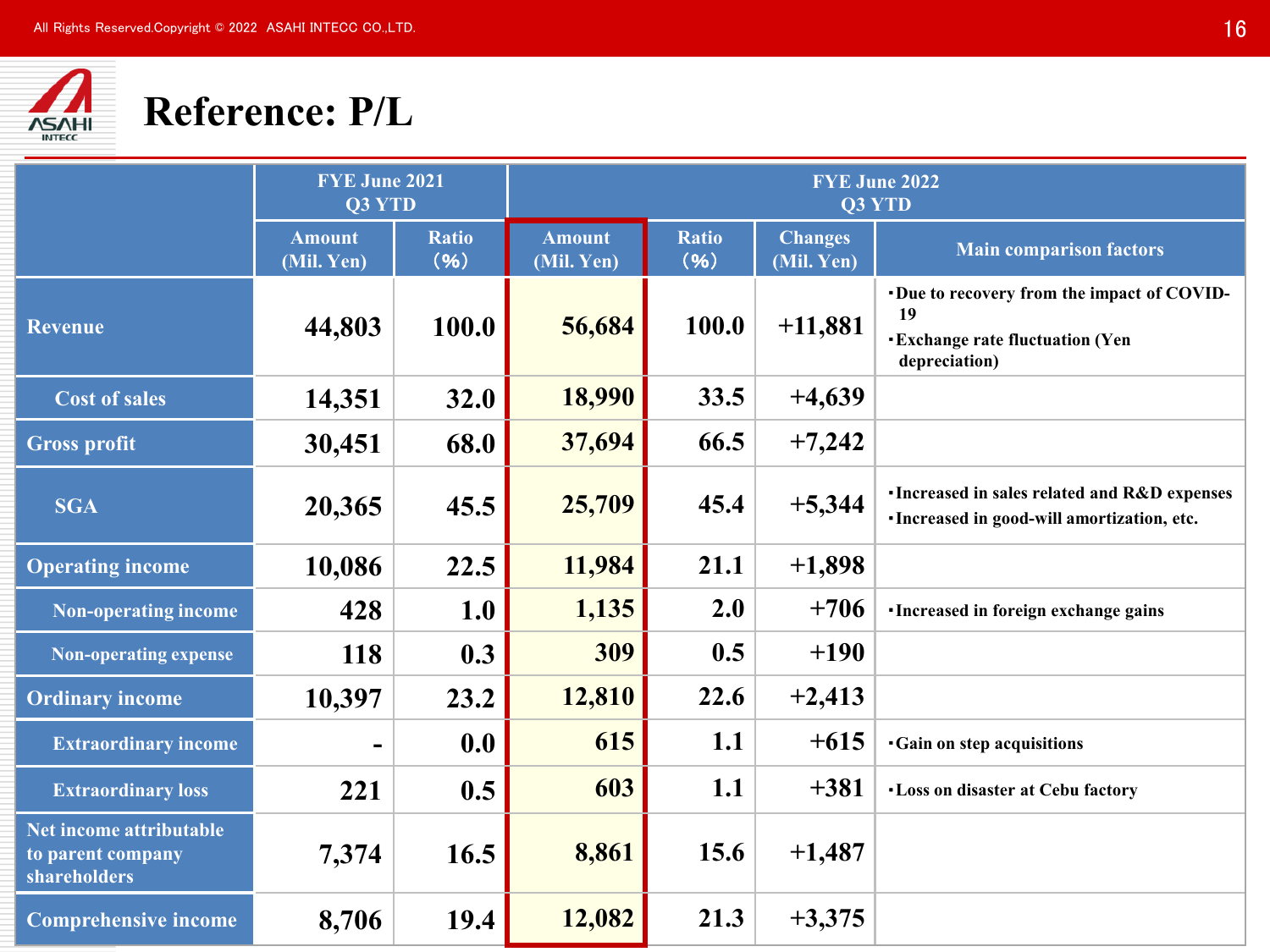

## **Reference: P/L**

|                                                              | <b>FYE June 2021</b><br>Q3 YTD |                      |                             |                      |                              | <b>FYE June 2022</b><br><b>Q3 YTD</b>                                                                     |
|--------------------------------------------------------------|--------------------------------|----------------------|-----------------------------|----------------------|------------------------------|-----------------------------------------------------------------------------------------------------------|
|                                                              | <b>Amount</b><br>(Mil. Yen)    | <b>Ratio</b><br>(96) | <b>Amount</b><br>(Mil. Yen) | <b>Ratio</b><br>(96) | <b>Changes</b><br>(Mil. Yen) | <b>Main comparison factors</b>                                                                            |
| <b>Revenue</b>                                               | 44,803                         | 100.0                | 56,684                      | 100.0                | $+11,881$                    | Due to recovery from the impact of COVID-<br>19<br><b>Exchange rate fluctuation (Yen</b><br>depreciation) |
| <b>Cost of sales</b>                                         | 14,351                         | 32.0                 | 18,990                      | 33.5                 | $+4,639$                     |                                                                                                           |
| <b>Gross profit</b>                                          | 30,451                         | 68.0                 | 37,694                      | 66.5                 | $+7,242$                     |                                                                                                           |
| <b>SGA</b>                                                   | 20,365                         | 45.5                 | 25,709                      | 45.4                 | $+5,344$                     | <b>·Increased in sales related and R&amp;D expenses</b><br>· Increased in good-will amortization, etc.    |
| <b>Operating income</b>                                      | 10,086                         | 22.5                 | 11,984                      | 21.1                 | $+1,898$                     |                                                                                                           |
| <b>Non-operating income</b>                                  | 428                            | 1.0                  | 1,135                       | 2.0                  | $+706$                       | <b>Increased in foreign exchange gains</b>                                                                |
| <b>Non-operating expense</b>                                 | 118                            | 0.3                  | 309                         | 0.5                  | $+190$                       |                                                                                                           |
| <b>Ordinary income</b>                                       | 10,397                         | 23.2                 | 12,810                      | 22.6                 | $+2,413$                     |                                                                                                           |
| <b>Extraordinary income</b>                                  |                                | 0.0                  | 615                         | 1.1                  | $+615$                       | <b>Gain on step acquisitions</b>                                                                          |
| <b>Extraordinary loss</b>                                    | 221                            | 0.5                  | 603                         | 1.1                  | $+381$                       | <b>. Loss on disaster at Cebu factory</b>                                                                 |
| Net income attributable<br>to parent company<br>shareholders | 7,374                          | 16.5                 | 8,861                       | 15.6                 | $+1,487$                     |                                                                                                           |
| <b>Comprehensive income</b>                                  | 8,706                          | 19.4                 | 12,082                      | 21.3                 | $+3,375$                     |                                                                                                           |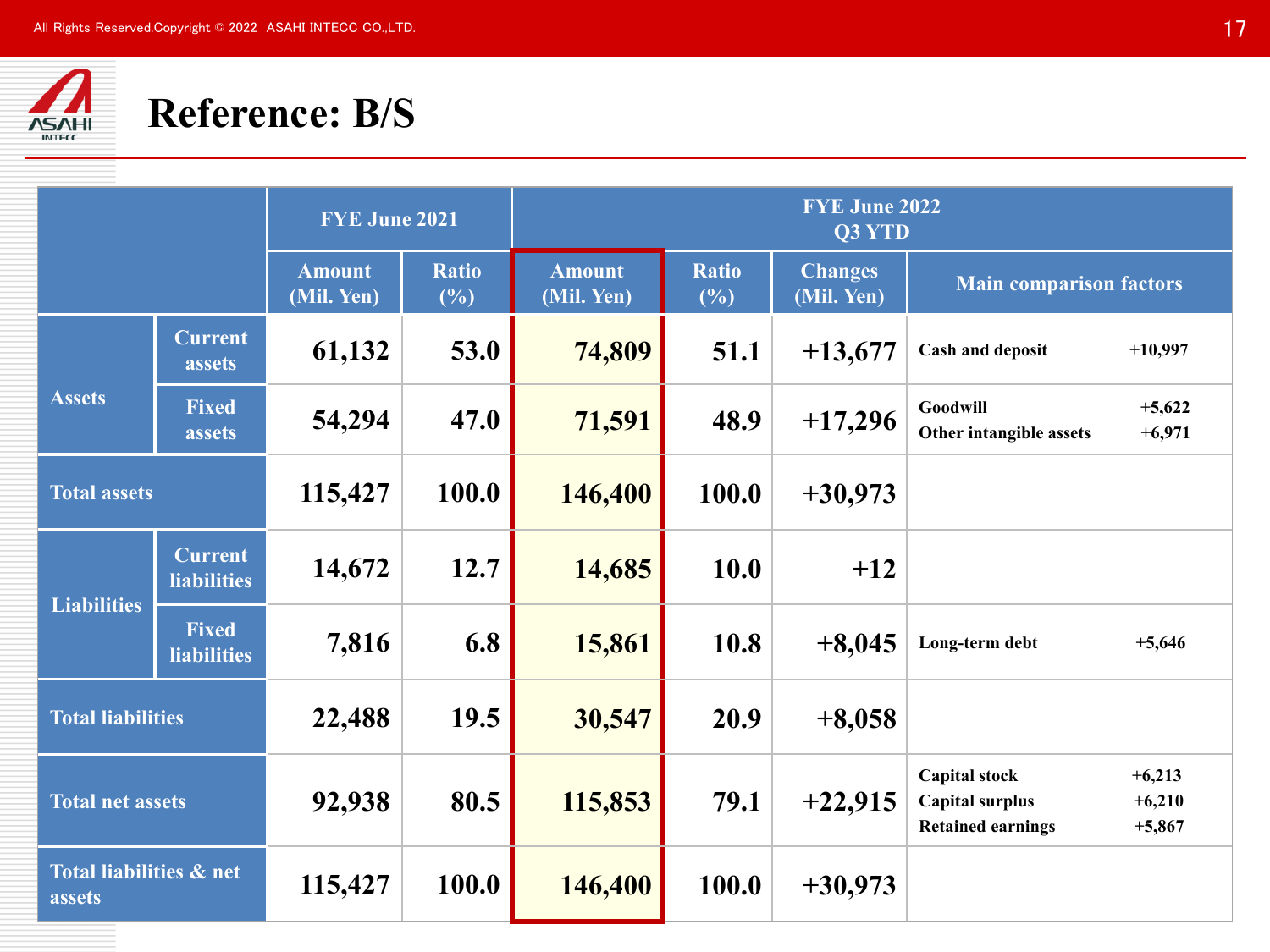

## **Reference: B/S**

|                                              |                                      | <b>FYE June 2021</b>        |                     |                             |                     | <b>FYE June 2022</b><br>Q3 YTD |                                                                                                                |  |
|----------------------------------------------|--------------------------------------|-----------------------------|---------------------|-----------------------------|---------------------|--------------------------------|----------------------------------------------------------------------------------------------------------------|--|
|                                              |                                      | <b>Amount</b><br>(Mil. Yen) | <b>Ratio</b><br>(%) | <b>Amount</b><br>(Mil. Yen) | <b>Ratio</b><br>(%) | <b>Changes</b><br>(Mil. Yen)   | <b>Main comparison factors</b>                                                                                 |  |
|                                              | <b>Current</b><br>assets             | 61,132                      | 53.0                | 74,809                      | 51.1                | $+13,677$                      | <b>Cash and deposit</b><br>$+10,997$                                                                           |  |
| <b>Assets</b>                                | <b>Fixed</b><br>assets               | 54,294                      | 47.0                | 71,591                      | 48.9                | $+17,296$                      | Goodwill<br>$+5,622$<br>$+6,971$<br>Other intangible assets                                                    |  |
| <b>Total assets</b>                          |                                      | 115,427                     | 100.0               | 146,400                     | 100.0               | $+30,973$                      |                                                                                                                |  |
|                                              | <b>Current</b><br><b>liabilities</b> | 14,672                      | 12.7                | 14,685                      | 10.0                | $+12$                          |                                                                                                                |  |
| <b>Liabilities</b>                           | <b>Fixed</b><br><b>liabilities</b>   | 7,816                       | 6.8                 | 15,861                      | 10.8                | $+8,045$                       | Long-term debt<br>$+5,646$                                                                                     |  |
| <b>Total liabilities</b>                     |                                      | 22,488                      | 19.5                | 30,547                      | 20.9                | $+8,058$                       |                                                                                                                |  |
| <b>Total net assets</b>                      |                                      | 92,938                      | 80.5                | 115,853                     | 79.1                | $+22,915$                      | <b>Capital stock</b><br>$+6,213$<br><b>Capital surplus</b><br>$+6,210$<br><b>Retained earnings</b><br>$+5,867$ |  |
| <b>Total liabilities &amp; net</b><br>assets |                                      | 115,427                     | 100.0               | 146,400                     | 100.0               | $+30,973$                      |                                                                                                                |  |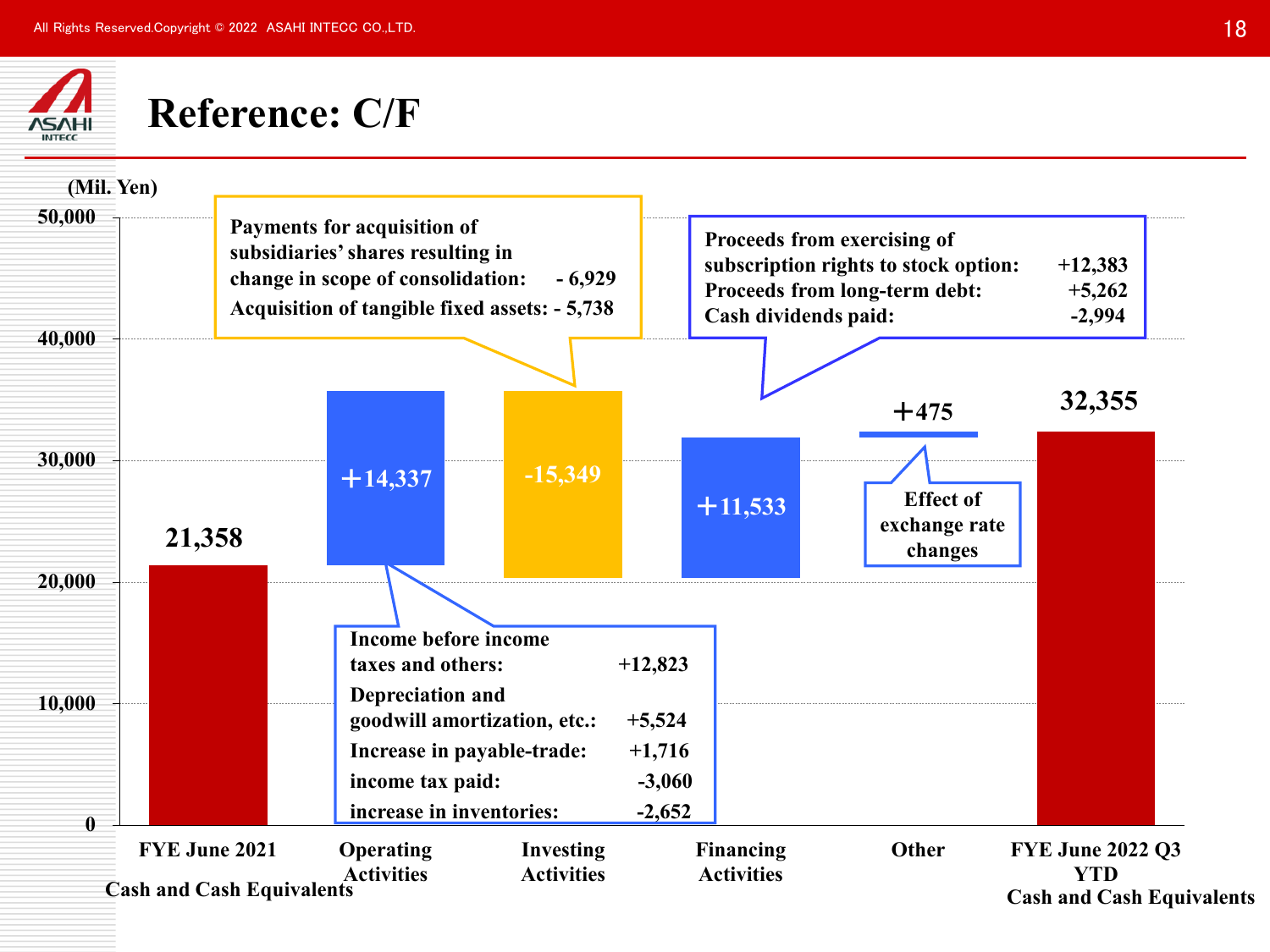

## **Reference: C/F**

| (Mil. Yen)       |                                                   |                                                                                                                                    |                                                           |                                   |                                                                                                                              |                                              |                                                                           |  |
|------------------|---------------------------------------------------|------------------------------------------------------------------------------------------------------------------------------------|-----------------------------------------------------------|-----------------------------------|------------------------------------------------------------------------------------------------------------------------------|----------------------------------------------|---------------------------------------------------------------------------|--|
| 50,000           |                                                   | Payments for acquisition of<br>subsidiaries' shares resulting in<br>change in scope of consolidation:                              | $-6,929$<br>Acquisition of tangible fixed assets: - 5,738 |                                   | Proceeds from exercising of<br>subscription rights to stock option:<br>Proceeds from long-term debt:<br>Cash dividends paid: |                                              | $+12,383$<br>$+5,262$<br>$-2,994$                                         |  |
| 40,000           |                                                   |                                                                                                                                    |                                                           |                                   |                                                                                                                              | $+475$                                       | 32,355                                                                    |  |
| 30,000           | 21,358                                            | $+14,337$                                                                                                                          | $-15,349$                                                 |                                   | $+11,533$                                                                                                                    | <b>Effect of</b><br>exchange rate<br>changes |                                                                           |  |
| 20,000<br>10,000 |                                                   | <b>Income before income</b><br>taxes and others:<br>Depreciation and<br>goodwill amortization, etc.:<br>Increase in payable-trade: |                                                           | $+12,823$<br>$+5,524$<br>$+1,716$ |                                                                                                                              |                                              |                                                                           |  |
| A                |                                                   | income tax paid:<br>increase in inventories:                                                                                       |                                                           | $-3,060$<br>$-2,652$              |                                                                                                                              |                                              |                                                                           |  |
|                  | FYE June 2021<br><b>Cash and Cash Equivalents</b> | Operating<br><b>Activities</b>                                                                                                     | <b>Investing</b><br><b>Activities</b>                     |                                   | <b>Financing</b><br><b>Activities</b>                                                                                        | Other                                        | <b>FYE June 2022 Q3</b><br><b>YTD</b><br><b>Cash and Cash Equivalents</b> |  |